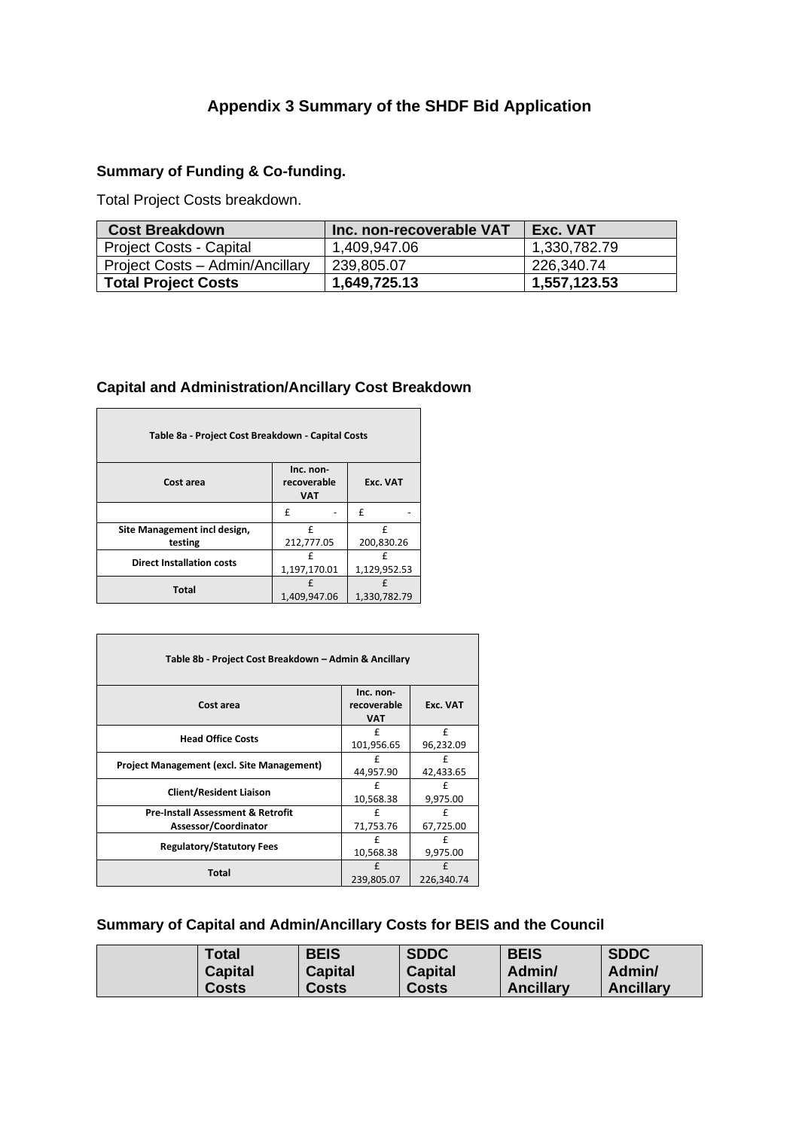# **Appendix 3 Summary of the SHDF Bid Application**

# **Summary of Funding & Co-funding.**

Total Project Costs breakdown.

| <b>Cost Breakdown</b>           | Inc. non-recoverable VAT | Exc. VAT     |
|---------------------------------|--------------------------|--------------|
| <b>Project Costs - Capital</b>  | 1,409,947.06             | 1,330,782.79 |
| Project Costs - Admin/Ancillary | 239,805.07               | 226,340.74   |
| <b>Total Project Costs</b>      | 1,649,725.13             | 1,557,123.53 |

## **Capital and Administration/Ancillary Cost Breakdown**

| Table 8a - Project Cost Breakdown - Capital Costs |                                        |              |  |  |
|---------------------------------------------------|----------------------------------------|--------------|--|--|
| Cost area                                         | Inc. non-<br>recoverable<br><b>VAT</b> | Exc. VAT     |  |  |
|                                                   | f                                      | f            |  |  |
| Site Management incl design,                      | f                                      | £            |  |  |
| testing                                           | 212,777.05                             | 200,830.26   |  |  |
| <b>Direct Installation costs</b>                  | f                                      | f            |  |  |
|                                                   | 1,197,170.01                           | 1,129,952.53 |  |  |
| <b>Total</b>                                      |                                        | f            |  |  |
|                                                   | 1,409,947.06                           | 1,330,782.79 |  |  |

 $\mathsf{r}$ 

| Table 8b - Project Cost Breakdown - Admin & Ancillary                |                                        |                 |  |
|----------------------------------------------------------------------|----------------------------------------|-----------------|--|
| Cost area                                                            | Inc. non-<br>recoverable<br><b>VAT</b> | Exc. VAT        |  |
| <b>Head Office Costs</b>                                             | f<br>101,956.65                        | £<br>96,232.09  |  |
| <b>Project Management (excl. Site Management)</b>                    | £<br>44,957.90                         | £<br>42,433.65  |  |
| <b>Client/Resident Liaison</b>                                       | f<br>10,568.38                         | f<br>9,975.00   |  |
| <b>Pre-Install Assessment &amp; Retrofit</b><br>Assessor/Coordinator | f<br>71,753.76                         | £<br>67,725.00  |  |
| <b>Regulatory/Statutory Fees</b>                                     | f<br>10,568.38                         | £<br>9,975.00   |  |
| Total                                                                | $\mathbf{f}$<br>239,805.07             | f<br>226,340.74 |  |

# **Summary of Capital and Admin/Ancillary Costs for BEIS and the Council**

| <b>Total</b>   | <b>BEIS</b>    | <b>SDDC</b>    | <b>BEIS</b>      | <b>SDDC</b>      |
|----------------|----------------|----------------|------------------|------------------|
| <b>Capital</b> | <b>Capital</b> | <b>Capital</b> | Admin/           | Admin/           |
| Costs          | <b>Costs</b>   | <b>Costs</b>   | <b>Ancillary</b> | <b>Ancillary</b> |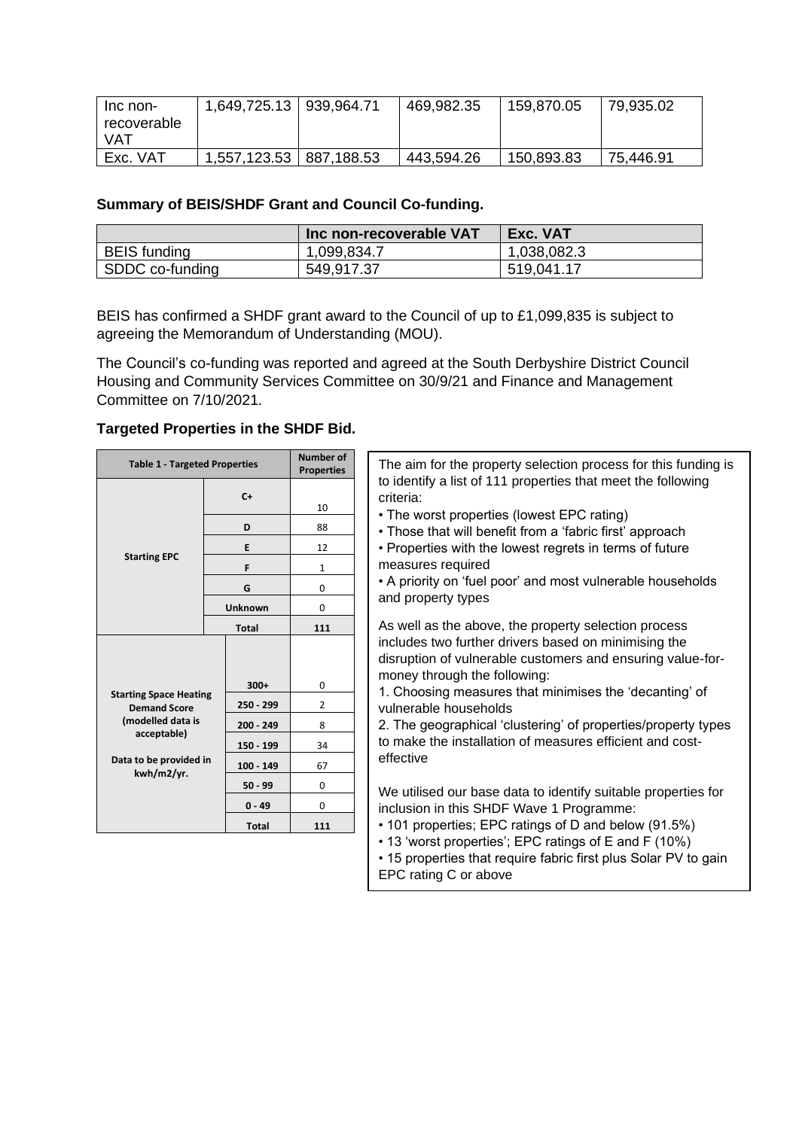| Inc non-    | 1,649,725.13   939,964.71 |            | 469,982.35 | 159,870.05 | 79,935.02 |
|-------------|---------------------------|------------|------------|------------|-----------|
| recoverable |                           |            |            |            |           |
| VAT         |                           |            |            |            |           |
| Exc. VAT    | 1,557,123.53              | 887,188.53 | 443,594.26 | 150,893.83 | 75,446.91 |

#### **Summary of BEIS/SHDF Grant and Council Co-funding.**

|                 | <b>Inc non-recoverable VAT</b> | Exc. VAT    |
|-----------------|--------------------------------|-------------|
| BEIS funding    | 1,099,834.7                    | 1,038,082.3 |
| SDDC co-funding | 549,917.37                     | 519,041.17  |

BEIS has confirmed a SHDF grant award to the Council of up to £1,099,835 is subject to agreeing the Memorandum of Understanding (MOU).

The Council's co-funding was reported and agreed at the South Derbyshire District Council Housing and Community Services Committee on 30/9/21 and Finance and Management Committee on 7/10/2021.

#### **Targeted Properties in the SHDF Bid.**

| <b>Table 1 - Targeted Properties</b>     |                       | <b>Number of</b><br><b>Properties</b> | The aim for the property selection process for this funding is                                                                                                                                               |  |  |
|------------------------------------------|-----------------------|---------------------------------------|--------------------------------------------------------------------------------------------------------------------------------------------------------------------------------------------------------------|--|--|
|                                          | $C+$                  | 10                                    | to identify a list of 111 properties that meet the following<br>criteria:                                                                                                                                    |  |  |
|                                          | D                     | 88                                    | • The worst properties (lowest EPC rating)<br>• Those that will benefit from a 'fabric first' approach                                                                                                       |  |  |
|                                          | Е                     | 12                                    | • Properties with the lowest regrets in terms of future                                                                                                                                                      |  |  |
| <b>Starting EPC</b>                      | F                     | $\mathbf{1}$                          | measures required                                                                                                                                                                                            |  |  |
|                                          | G                     | 0                                     | • A priority on 'fuel poor' and most vulnerable households                                                                                                                                                   |  |  |
|                                          | <b>Unknown</b>        | 0                                     | and property types                                                                                                                                                                                           |  |  |
|                                          | <b>Total</b>          | 111                                   | As well as the above, the property selection process                                                                                                                                                         |  |  |
| <b>Starting Space Heating</b>            | $300+$<br>$250 - 299$ | 0<br>2                                | includes two further drivers based on minimising the<br>disruption of vulnerable customers and ensuring value-for-<br>money through the following:<br>1. Choosing measures that minimises the 'decanting' of |  |  |
| <b>Demand Score</b><br>(modelled data is | $200 - 249$           | 8                                     | vulnerable households<br>2. The geographical 'clustering' of properties/property types                                                                                                                       |  |  |
| acceptable)                              | 150 - 199             | 34                                    | to make the installation of measures efficient and cost-                                                                                                                                                     |  |  |
| Data to be provided in                   | $100 - 149$           | 67                                    | effective                                                                                                                                                                                                    |  |  |
| kwh/m2/yr.                               | $50 - 99$             | 0                                     | We utilised our base data to identify suitable properties for                                                                                                                                                |  |  |
|                                          | $0 - 49$              | 0                                     | inclusion in this SHDF Wave 1 Programme:                                                                                                                                                                     |  |  |
|                                          | <b>Total</b>          | 111                                   | • 101 properties; EPC ratings of D and below (91.5%)                                                                                                                                                         |  |  |
|                                          |                       |                                       | • 13 'worst properties'; EPC ratings of E and F (10%)<br>• 15 properties that require fabric first plus Solar PV to gain<br>EPC rating C or above                                                            |  |  |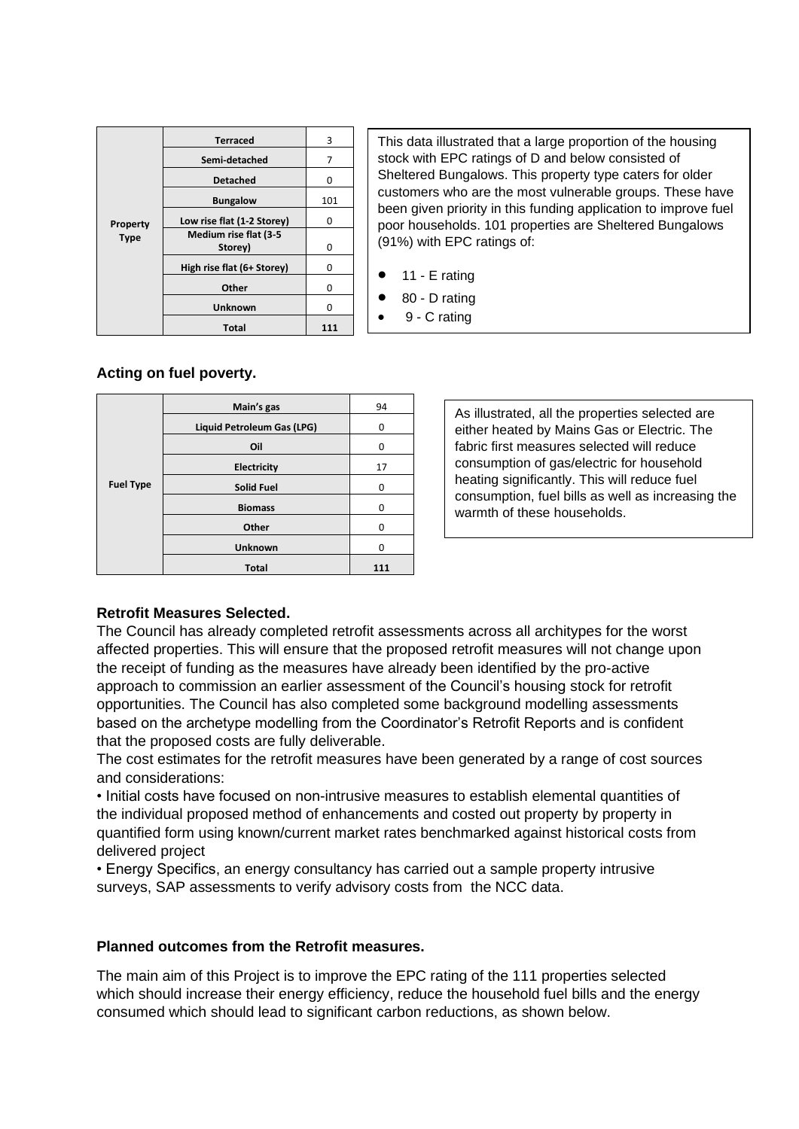|             | <b>Terraced</b>            | 3   |
|-------------|----------------------------|-----|
|             | Semi-detached              | 7   |
|             | <b>Detached</b>            | 0   |
|             | <b>Bungalow</b>            | 101 |
| Property    | Low rise flat (1-2 Storey) | O   |
| <b>Type</b> | Medium rise flat (3-5      |     |
|             | Storey)                    | 0   |
|             | High rise flat (6+ Storey) | ŋ   |
|             | Other                      | ŋ   |
|             | Unknown                    | O   |
|             | Total                      |     |

This data illustrated that a large proportion of the housing stock with EPC ratings of D and below consisted of Sheltered Bungalows. This property type caters for older customers who are the most vulnerable groups. These have been given priority in this funding application to improve fuel poor households. 101 properties are Sheltered Bungalows (91%) with EPC ratings of:

- 11 E rating
	- 80 D rating
- 9 C rating

## **Acting on fuel poverty.**

|                  | Main's gas                 | 94  |
|------------------|----------------------------|-----|
|                  | Liquid Petroleum Gas (LPG) | 0   |
|                  | Oil                        | 0   |
|                  | <b>Electricity</b>         | 17  |
| <b>Fuel Type</b> | <b>Solid Fuel</b>          | 0   |
|                  | <b>Biomass</b>             | n   |
|                  | Other                      |     |
|                  | <b>Unknown</b>             |     |
|                  | <b>Total</b>               | 111 |

As illustrated, all the properties selected are either heated by Mains Gas or Electric. The fabric first measures selected will reduce consumption of gas/electric for household heating significantly. This will reduce fuel consumption, fuel bills as well as increasing the warmth of these households.

#### **Retrofit Measures Selected.**

The Council has already completed retrofit assessments across all architypes for the worst affected properties. This will ensure that the proposed retrofit measures will not change upon the receipt of funding as the measures have already been identified by the pro-active approach to commission an earlier assessment of the Council's housing stock for retrofit opportunities. The Council has also completed some background modelling assessments based on the archetype modelling from the Coordinator's Retrofit Reports and is confident that the proposed costs are fully deliverable.

The cost estimates for the retrofit measures have been generated by a range of cost sources and considerations:

• Initial costs have focused on non-intrusive measures to establish elemental quantities of the individual proposed method of enhancements and costed out property by property in quantified form using known/current market rates benchmarked against historical costs from delivered project

• Energy Specifics, an energy consultancy has carried out a sample property intrusive surveys, SAP assessments to verify advisory costs from the NCC data.

## **Planned outcomes from the Retrofit measures.**

The main aim of this Project is to improve the EPC rating of the 111 properties selected which should increase their energy efficiency, reduce the household fuel bills and the energy consumed which should lead to significant carbon reductions, as shown below.